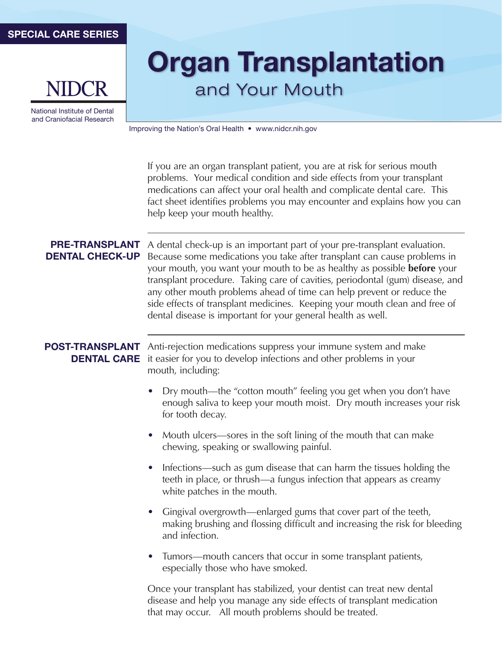## SPECIAL CARE SERIES ORGAN TRANSplantation and Your Mouth Transplantation and Your Mouth Transplantation and You



National Institute of Dental and Craniofacial Research

# Organ Transplantation and Your Mouth

Improving the Nation's Oral Health • www.nidcr.nih.gov

If you are an organ transplant patient, you are at risk for serious mouth problems. Your medical condition and side effects from your transplant medications can affect your oral health and complicate dental care. This fact sheet identifies problems you may encounter and explains how you can help keep your mouth healthy.

# DENTAL CHECK-UP

**PRE-TRANSPLANT** A dental check-up is an important part of your pre-transplant evaluation. Because some medications you take after transplant can cause problems in your mouth, you want your mouth to be as healthy as possible **before** your transplant procedure. Taking care of cavities, periodontal (gum) disease, and any other mouth problems ahead of time can help prevent or reduce the side effects of transplant medicines. Keeping your mouth clean and free of dental disease is important for your general health as well.

**POST-TRANSPLANT** Anti-rejection medications suppress your immune system and make **DENTAL CARE** it easier for you to develop infections and other problems in your mouth, including:

- Dry mouth—the "cotton mouth" feeling you get when you don't have enough saliva to keep your mouth moist. Dry mouth increases your risk for tooth decay.
- Mouth ulcers—sores in the soft lining of the mouth that can make chewing, speaking or swallowing painful.
- Infections—such as gum disease that can harm the tissues holding the teeth in place, or thrush—a fungus infection that appears as creamy white patches in the mouth.
- Gingival overgrowth—enlarged gums that cover part of the teeth, making brushing and flossing difficult and increasing the risk for bleeding and infection.
- Tumors—mouth cancers that occur in some transplant patients, especially those who have smoked.

Once your transplant has stabilized, your dentist can treat new dental disease and help you manage any side effects of transplant medication that may occur. All mouth problems should be treated.